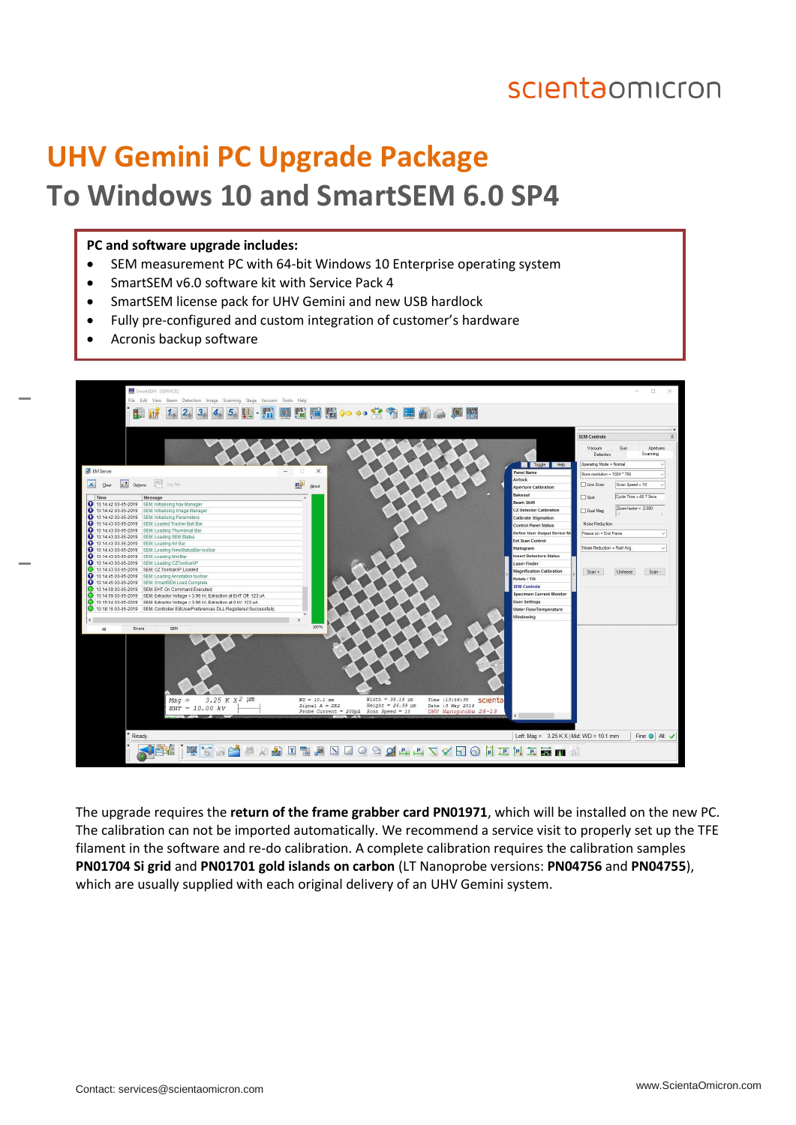### scientaomicron

# **UHV Gemini PC Upgrade Package To Windows 10 and SmartSEM 6.0 SP4**

#### **PC and software upgrade includes:**

- SEM measurement PC with 64-bit Windows 10 Enterprise operating system
- SmartSEM v6.0 software kit with Service Pack 4
- SmartSEM license pack for UHV Gemini and new USB hardlock
- Fully pre-configured and custom integration of customer's hardware
- Acronis backup software



The upgrade requires the **return of the frame grabber card PN01971**, which will be installed on the new PC. The calibration can not be imported automatically. We recommend a service visit to properly set up the TFE filament in the software and re-do calibration. A complete calibration requires the calibration samples **PN01704 Si grid** and **PN01701 gold islands on carbon** (LT Nanoprobe versions: **PN04756** and **PN04755**), which are usually supplied with each original delivery of an UHV Gemini system.